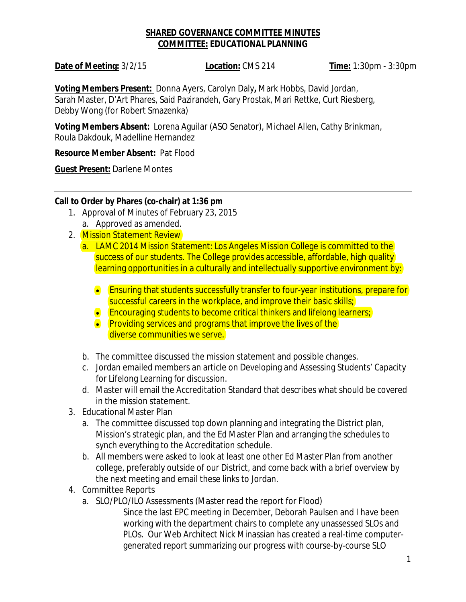## **SHARED GOVERNANCE COMMITTEE MINUTES COMMITTEE: EDUCATIONAL PLANNING**

**Date of Meeting:** 3/2/15 **Location:** CMS 214 **Time:** 1:30pm - 3:30pm

**Voting Members Present:** Donna Ayers, Carolyn Daly**,** Mark Hobbs, David Jordan, Sarah Master, D'Art Phares, Said Pazirandeh, Gary Prostak, Mari Rettke, Curt Riesberg, Debby Wong (for Robert Smazenka)

**Voting Members Absent:** Lorena Aguilar (ASO Senator), Michael Allen, Cathy Brinkman, Roula Dakdouk, Madelline Hernandez

**Resource Member Absent:** Pat Flood

**Guest Present:** Darlene Montes

**Call to Order by Phares (co-chair) at 1:36 pm**

- 1. Approval of Minutes of February 23, 2015 a. Approved as amended.
- 2. Mission Statement Review
	- a. LAMC 2014 Mission Statement: Los Angeles Mission College is committed to the success of our students. The College provides accessible, affordable, high quality learning opportunities in a culturally and intellectually supportive environment by:
		- Ensuring that students successfully transfer to four-year institutions, prepare for successful careers in the workplace, and improve their basic skills;
		- **Encouraging students to become critical thinkers and lifelong learners;**
		- **•** Providing services and programs that improve the lives of the diverse communities we serve.
	- b. The committee discussed the mission statement and possible changes.
	- c. Jordan emailed members an article on Developing and Assessing Students' Capacity for Lifelong Learning for discussion.
	- d. Master will email the Accreditation Standard that describes what should be covered in the mission statement.
- 3. Educational Master Plan
	- a. The committee discussed top down planning and integrating the District plan, Mission's strategic plan, and the Ed Master Plan and arranging the schedules to synch everything to the Accreditation schedule.
	- b. All members were asked to look at least one other Ed Master Plan from another college, preferably outside of our District, and come back with a brief overview by the next meeting and email these links to Jordan.
- 4. Committee Reports
	- a. SLO/PLO/ILO Assessments (Master read the report for Flood)
		- Since the last EPC meeting in December, Deborah Paulsen and I have been working with the department chairs to complete any unassessed SLOs and PLOs. Our Web Architect Nick Minassian has created a real-time computergenerated report summarizing our progress with course-by-course SLO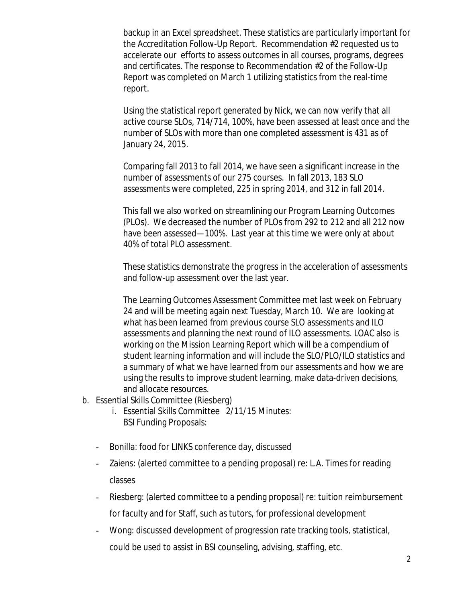backup in an Excel spreadsheet. These statistics are particularly important for the Accreditation Follow-Up Report. Recommendation #2 requested us to accelerate our efforts to assess outcomes in all courses, programs, degrees and certificates. The response to Recommendation #2 of the Follow-Up Report was completed on March 1 utilizing statistics from the real-time report.

Using the statistical report generated by Nick, we can now verify that all active course SLOs, 714/714, 100%, have been assessed at least once and the number of SLOs with more than one completed assessment is 431 as of January 24, 2015.

Comparing fall 2013 to fall 2014, we have seen a significant increase in the number of assessments of our 275 courses. In fall 2013, 183 SLO assessments were completed, 225 in spring 2014, and 312 in fall 2014.

This fall we also worked on streamlining our Program Learning Outcomes (PLOs). We decreased the number of PLOs from 292 to 212 and all 212 now have been assessed—100%. Last year at this time we were only at about 40% of total PLO assessment.

These statistics demonstrate the progress in the acceleration of assessments and follow-up assessment over the last year.

The Learning Outcomes Assessment Committee met last week on February 24 and will be meeting again next Tuesday, March 10. We are looking at what has been learned from previous course SLO assessments and ILO assessments and planning the next round of ILO assessments. LOAC also is working on the Mission Learning Report which will be a compendium of student learning information and will include the SLO/PLO/ILO statistics and a summary of what we have learned from our assessments and how we are using the results to improve student learning, make data-driven decisions, and allocate resources.

- b. Essential Skills Committee (Riesberg)
	- i. Essential Skills Committee 2/11/15 Minutes: BSI Funding Proposals:
	- Bonilla: food for LINKS conference day, discussed
	- Zaiens: (alerted committee to a pending proposal) re: L.A. Times for reading classes
	- Riesberg: (alerted committee to a pending proposal) re: tuition reimbursement for faculty and for Staff, such as tutors, for professional development
	- Wong: discussed development of progression rate tracking tools, statistical, could be used to assist in BSI counseling, advising, staffing, etc.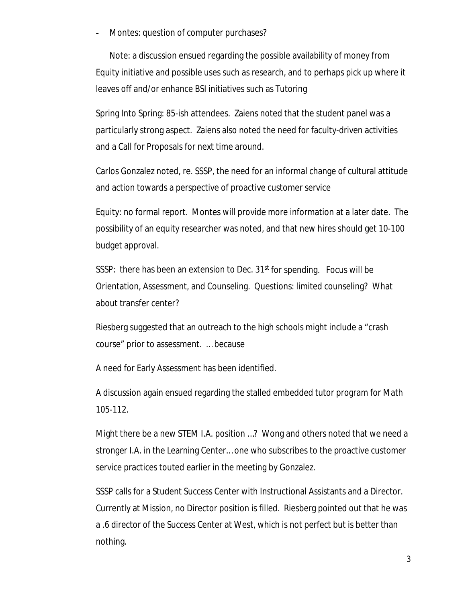Montes: question of computer purchases?

Note: a discussion ensued regarding the possible availability of money from Equity initiative and possible uses such as research, and to perhaps pick up where it leaves off and/or enhance BSI initiatives such as Tutoring

Spring Into Spring: 85-ish attendees. Zaiens noted that the student panel was a particularly strong aspect. Zaiens also noted the need for faculty-driven activities and a Call for Proposals for next time around.

Carlos Gonzalez noted, re. SSSP, the need for an informal change of cultural attitude and action towards a perspective of proactive customer service

Equity: no formal report. Montes will provide more information at a later date. The possibility of an equity researcher was noted, and that new hires should get 10-100 budget approval.

SSSP: there has been an extension to Dec. 31<sup>st</sup> for spending. Focus will be Orientation, Assessment, and Counseling. Questions: limited counseling? What about transfer center?

Riesberg suggested that an outreach to the high schools might include a "crash course" prior to assessment. … because

A need for Early Assessment has been identified.

A discussion again ensued regarding the stalled embedded tutor program for Math 105-112.

Might there be a new STEM I.A. position …? Wong and others noted that we need a stronger I.A. in the Learning Center… one who subscribes to the proactive customer service practices touted earlier in the meeting by Gonzalez.

SSSP calls for a Student Success Center with Instructional Assistants and a Director. Currently at Mission, no Director position is filled. Riesberg pointed out that he was a .6 director of the Success Center at West, which is not perfect but is better than nothing.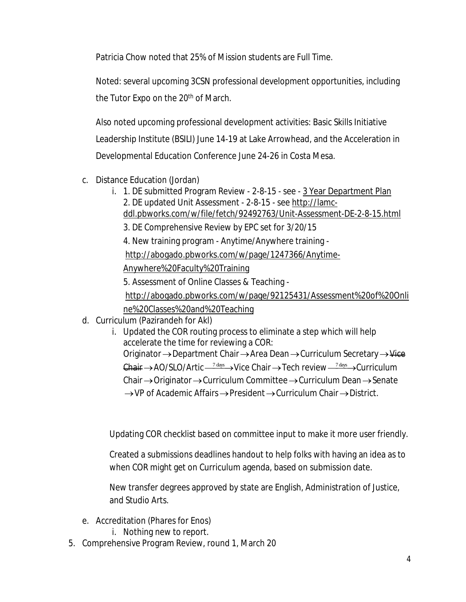Patricia Chow noted that 25% of Mission students are Full Time.

Noted: several upcoming 3CSN professional development opportunities, including the Tutor Expo on the 20<sup>th</sup> of March.

Also noted upcoming professional development activities: Basic Skills Initiative Leadership Institute (BSILI) June 14-19 at Lake Arrowhead, and the Acceleration in Developmental Education Conference June 24-26 in Costa Mesa.

- c. Distance Education (Jordan)
	- i. 1. DE submitted Program Review 2-8-15 see 3 Year Department Plan 2. DE updated Unit Assessment - 2-8-15 - see http://lamcddl.pbworks.com/w/file/fetch/92492763/Unit-Assessment-DE-2-8-15.html
		- 3. DE Comprehensive Review by EPC set for 3/20/15

4. New training program - Anytime/Anywhere training -

http://abogado.pbworks.com/w/page/1247366/Anytime-

Anywhere%20Faculty%20Training

5. Assessment of Online Classes & Teaching -

http://abogado.pbworks.com/w/page/92125431/Assessment%20of%20Onli ne%20Classes%20and%20Teaching

- d. Curriculum (Pazirandeh for Akl)
	- i. Updated the COR routing process to eliminate a step which will help accelerate the time for reviewing a COR: Originator  $\rightarrow$  Department Chair  $\rightarrow$  Area Dean  $\rightarrow$  Curriculum Secretary  $\rightarrow$  Vice Chair  $\rightarrow$  AO/SLO/Artic  $\frac{7 \text{ days}}{2}$  Vice Chair  $\rightarrow$  Tech review  $\frac{7 \text{ days}}{2}$  Curriculum Chair  $\rightarrow$  Originator  $\rightarrow$  Curriculum Committee  $\rightarrow$  Curriculum Dean  $\rightarrow$  Senate  $\rightarrow$  VP of Academic Affairs  $\rightarrow$  President  $\rightarrow$  Curriculum Chair  $\rightarrow$  District.

Updating COR checklist based on committee input to make it more user friendly.

Created a submissions deadlines handout to help folks with having an idea as to when COR might get on Curriculum agenda, based on submission date.

New transfer degrees approved by state are English, Administration of Justice, and Studio Arts.

- e. Accreditation (Phares for Enos)
	- i. Nothing new to report.
- 5. Comprehensive Program Review, round 1, March 20